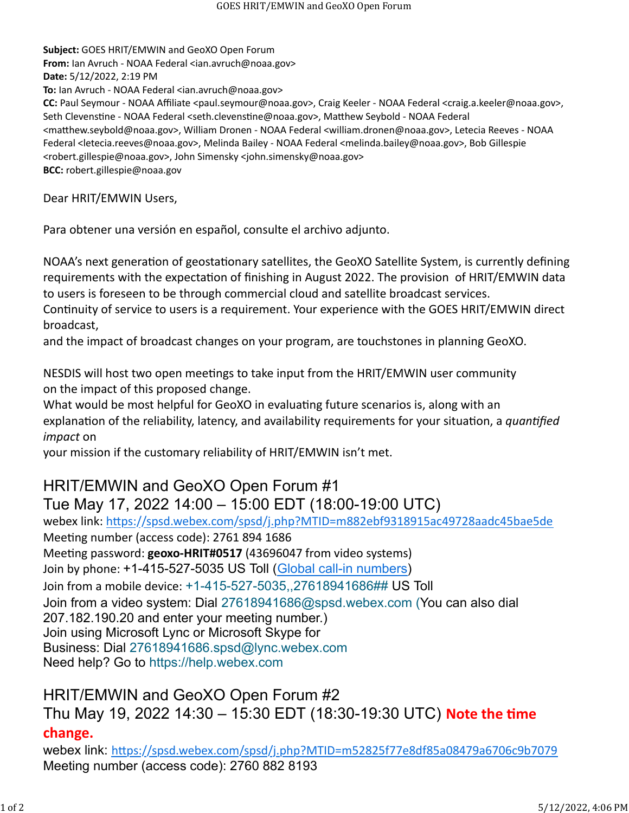**Subject:** GOES HRIT/EMWIN and GeoXO Open Forum **From:** Ian Avruch - NOAA Federal <ian.avruch@noaa.gov> **Date:** 5/12/2022, 2:19 PM **To:** Ian Avruch - NOAA Federal <ian.avruch@noaa.gov> **CC:** Paul Seymour - NOAA Affiliate <paul.seymour@noaa.gov>, Craig Keeler - NOAA Federal <craig.a.keeler@noaa.gov>, Seth Clevenstine - NOAA Federal <seth.clevenstine@noaa.gov>, Matthew Seybold - NOAA Federal <ma�hew.seybold@noaa.gov>, William Dronen - NOAA Federal <william.dronen@noaa.gov>, Letecia Reeves - NOAA Federal <letecia.reeves@noaa.gov>, Melinda Bailey - NOAA Federal <melinda.bailey@noaa.gov>, Bob Gillespie <robert.gillespie@noaa.gov>, John Simensky <john.simensky@noaa.gov> **BCC:** robert.gillespie@noaa.gov

Dear HRIT/EMWIN Users,

Para obtener una versión en español, consulte el archivo adjunto.

NOAA's next generation of geostationary satellites, the GeoXO Satellite System, is currently defining requirements with the expectation of finishing in August 2022. The provision of HRIT/EMWIN data to users is foreseen to be through commercial cloud and satellite broadcast services. Continuity of service to users is a requirement. Your experience with the GOES HRIT/EMWIN direct broadcast,

and the impact of broadcast changes on your program, are touchstones in planning GeoXO.

NESDIS will host two open meetings to take input from the HRIT/EMWIN user community on the impact of this proposed change.

What would be most helpful for GeoXO in evaluating future scenarios is, along with an explanation of the reliability, latency, and availability requirements for your situation, a *quantified impact* on

your mission if the customary reliability of HRIT/EMWIN isn't met.

## HRIT/EMWIN and GeoXO Open Forum #1 Tue May 17, 2022 14:00 – 15:00 EDT (18:00-19:00 UTC)

webex link: htt[ps://spsd.webex.com/spsd/j.php?MTID=m882ebf9318915ac49728aadc45bae5de](https://spsd.webex.com/spsd/j.php?MTID=m882ebf9318915ac49728aadc45bae5de) Meeting number (access code): 2761 894 1686 Meeting password: **geoxo-HRIT#0517** (43696047 from video systems) Join by phone: +1-415-527-5035 US Toll [\(Global call-in numbers\)](https://spsd.webex.com/spsd/globalcallin.php?MTID=m83596763a09a94ecfe59428f396f1a81) Join from a mobile device: [+1-415-527-5035,,27618941686##](tel:%2B1-415-527-5035,,*01*27618941686%23%23*01*) US Toll Join from a video system: Dial 27618941686@spsd.webex.com (You can also dial 207.182.190.20 and enter your meeting number.) Join using Microsoft Lync or Microsoft Skype for Business: Dial 27618941686.spsd@lync.webex.com Need help? Go to [https://help.webex.com](https://help.webex.com/)

HRIT/EMWIN and GeoXO Open Forum #2 Thu May 19, 2022 14:30 – 15:30 EDT (18:30-19:30 UTC) **Note the �me change.**

webex link: htt[ps://spsd.webex.com/spsd/j.php?MTID=m52825f77e8df85a08479a6706c9b7079](https://spsd.webex.com/spsd/j.php?MTID=m52825f77e8df85a08479a6706c9b7079) Meeting number (access code): 2760 882 8193